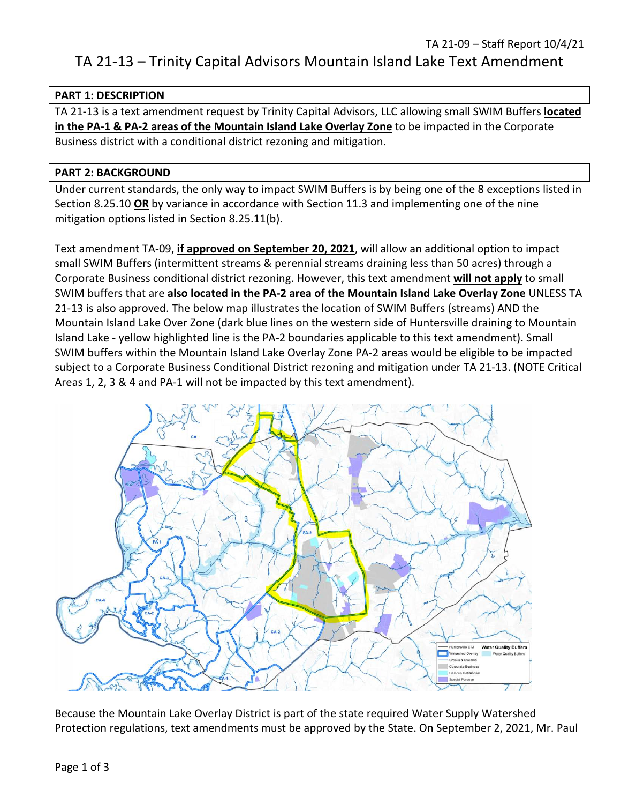# TA 21-13 – Trinity Capital Advisors Mountain Island Lake Text Amendment

#### **PART 1: DESCRIPTION**

TA 21-13 is a text amendment request by Trinity Capital Advisors, LLC allowing small SWIM Buffers **located in the PA-1 & PA-2 areas of the Mountain Island Lake Overlay Zone** to be impacted in the Corporate Business district with a conditional district rezoning and mitigation.

#### **PART 2: BACKGROUND**

Under current standards, the only way to impact SWIM Buffers is by being one of the 8 exceptions listed in Section 8.25.10 **OR** by variance in accordance with Section 11.3 and implementing one of the nine mitigation options listed in Section 8.25.11(b).

Text amendment TA-09, **if approved on September 20, 2021**, will allow an additional option to impact small SWIM Buffers (intermittent streams & perennial streams draining less than 50 acres) through a Corporate Business conditional district rezoning. However, this text amendment **will not apply** to small SWIM buffers that are **also located in the PA-2 area of the Mountain Island Lake Overlay Zone** UNLESS TA 21-13 is also approved. The below map illustrates the location of SWIM Buffers (streams) AND the Mountain Island Lake Over Zone (dark blue lines on the western side of Huntersville draining to Mountain Island Lake - yellow highlighted line is the PA-2 boundaries applicable to this text amendment). Small SWIM buffers within the Mountain Island Lake Overlay Zone PA-2 areas would be eligible to be impacted subject to a Corporate Business Conditional District rezoning and mitigation under TA 21-13. (NOTE Critical Areas 1, 2, 3 & 4 and PA-1 will not be impacted by this text amendment).



Because the Mountain Lake Overlay District is part of the state required Water Supply Watershed Protection regulations, text amendments must be approved by the State. On September 2, 2021, Mr. Paul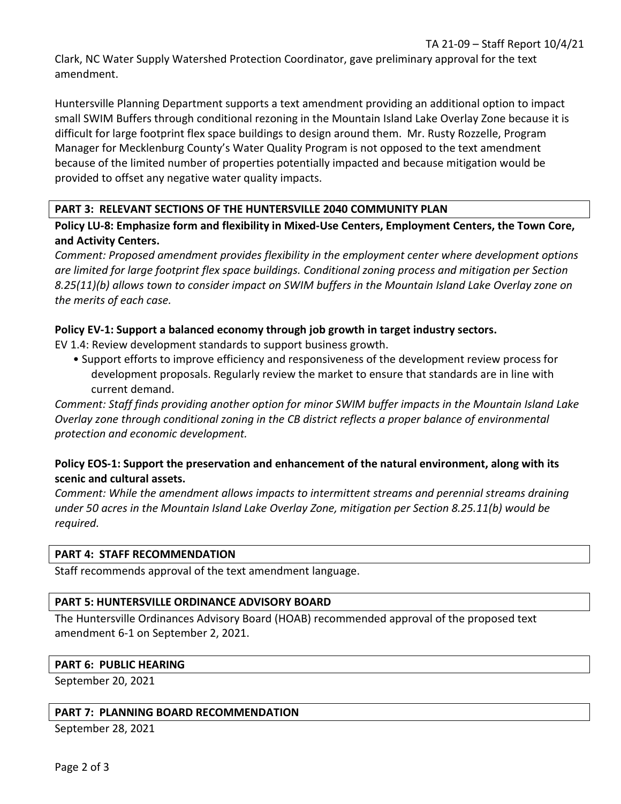Clark, NC Water Supply Watershed Protection Coordinator, gave preliminary approval for the text amendment.

Huntersville Planning Department supports a text amendment providing an additional option to impact small SWIM Buffers through conditional rezoning in the Mountain Island Lake Overlay Zone because it is difficult for large footprint flex space buildings to design around them. Mr. Rusty Rozzelle, Program Manager for Mecklenburg County's Water Quality Program is not opposed to the text amendment because of the limited number of properties potentially impacted and because mitigation would be provided to offset any negative water quality impacts.

## **PART 3: RELEVANT SECTIONS OF THE HUNTERSVILLE 2040 COMMUNITY PLAN**

**Policy LU-8: Emphasize form and flexibility in Mixed-Use Centers, Employment Centers, the Town Core, and Activity Centers.** 

*Comment: Proposed amendment provides flexibility in the employment center where development options are limited for large footprint flex space buildings. Conditional zoning process and mitigation per Section 8.25(11)(b) allows town to consider impact on SWIM buffers in the Mountain Island Lake Overlay zone on the merits of each case.*

## **Policy EV-1: Support a balanced economy through job growth in target industry sectors.**

EV 1.4: Review development standards to support business growth.

• Support efforts to improve efficiency and responsiveness of the development review process for development proposals. Regularly review the market to ensure that standards are in line with current demand.

*Comment: Staff finds providing another option for minor SWIM buffer impacts in the Mountain Island Lake Overlay zone through conditional zoning in the CB district reflects a proper balance of environmental protection and economic development.*

## **Policy EOS-1: Support the preservation and enhancement of the natural environment, along with its scenic and cultural assets.**

*Comment: While the amendment allows impacts to intermittent streams and perennial streams draining under 50 acres in the Mountain Island Lake Overlay Zone, mitigation per Section 8.25.11(b) would be required.*

## **PART 4: STAFF RECOMMENDATION**

Staff recommends approval of the text amendment language.

## **PART 5: HUNTERSVILLE ORDINANCE ADVISORY BOARD**

The Huntersville Ordinances Advisory Board (HOAB) recommended approval of the proposed text amendment 6-1 on September 2, 2021.

## **PART 6: PUBLIC HEARING**

September 20, 2021

## **PART 7: PLANNING BOARD RECOMMENDATION**

September 28, 2021